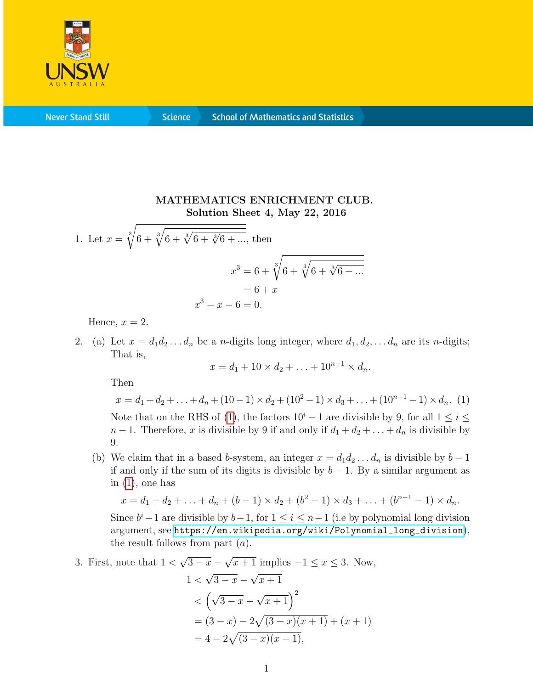

**Never Stand Still** 

## MATHEMATICS ENRICHMENT CLUB. Solution Sheet 4, May 22, 2016

1. Let  $x = \sqrt[3]{}$  $6 + \sqrt[3]{6 + \sqrt[3]{6 + \sqrt[3]{6 + \dots}}}$ , then  $x^3 = 6 + \sqrt[3]{x^3}$  $6 + \sqrt[3]{6 + \sqrt[3]{6 + \dots}}$  $= 6 + x$  $x^3 - x - 6 = 0.$ 

**Science** 

Hence,  $x = 2$ .

2. (a) Let  $x = d_1 d_2 \dots d_n$  be a *n*-digits long integer, where  $d_1, d_2, \dots d_n$  are its *n*-digits; That is,

$$
x = d_1 + 10 \times d_2 + \ldots + 10^{n-1} \times d_n.
$$

Then

<span id="page-0-0"></span> $x = d_1 + d_2 + \ldots + d_n + (10 - 1) \times d_2 + (10^2 - 1) \times d_3 + \ldots + (10^{n-1} - 1) \times d_n$ . (1)

Note that on the RHS of [\(1\)](#page-0-0), the factors  $10^{i} - 1$  are divisible by 9, for all  $1 \leq i \leq$  $n-1$ . Therefore, x is divisible by 9 if and only if  $d_1 + d_2 + \ldots + d_n$  is divisible by 9.

(b) We claim that in a based b-system, an integer  $x = d_1 d_2 \dots d_n$  is divisible by  $b - 1$ if and only if the sum of its digits is divisible by  $b - 1$ . By a similar argument as in  $(1)$ , one has

$$
x = d_1 + d_2 + \ldots + d_n + (b-1) \times d_2 + (b^2 - 1) \times d_3 + \ldots + (b^{n-1} - 1) \times d_n.
$$

Since  $b^{i}-1$  are divisible by  $b-1$ , for  $1 \leq i \leq n-1$  (i.e by polynomial long division argument, see [https://en.wikipedia.org/wiki/Polynomial\\_long\\_division](https://en.wikipedia.org/wiki/Polynomial_long_division)), the result follows from part  $(a)$ .

3. First, note that  $1 <$ √  $\overline{3-x}$  – √  $\overline{x+1}$  implies  $-1 \leq x \leq 3$ . Now, √ √

$$
1 < \sqrt{3-x} - \sqrt{x+1}
$$
  

$$
< (\sqrt{3-x} - \sqrt{x+1})^2
$$
  

$$
= (3-x) - 2\sqrt{(3-x)(x+1)} + (x+1)
$$
  

$$
= 4 - 2\sqrt{(3-x)(x+1)},
$$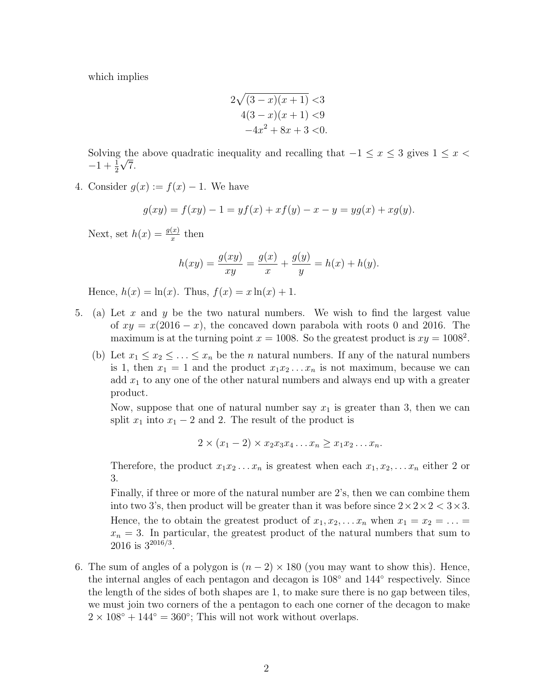which implies

$$
2\sqrt{(3-x)(x+1)} < 3
$$
  
4(3-x)(x+1) < 9  
-4x<sup>2</sup> + 8x + 3 < 0.

Solving the above quadratic inequality and recalling that  $-1 \le x \le 3$  gives  $1 \le x <$  $-1+\frac{1}{2}\sqrt{7}$ .

4. Consider  $q(x) := f(x) - 1$ . We have

$$
g(xy) = f(xy) - 1 = yf(x) + xf(y) - x - y = yg(x) + xg(y).
$$

Next, set  $h(x) = \frac{g(x)}{x}$  then

$$
h(xy) = \frac{g(xy)}{xy} = \frac{g(x)}{x} + \frac{g(y)}{y} = h(x) + h(y).
$$

Hence,  $h(x) = \ln(x)$ . Thus,  $f(x) = x \ln(x) + 1$ .

- 5. (a) Let x and y be the two natural numbers. We wish to find the largest value of  $xy = x(2016 - x)$ , the concaved down parabola with roots 0 and 2016. The maximum is at the turning point  $x = 1008$ . So the greatest product is  $xy = 1008^2$ .
	- (b) Let  $x_1 \le x_2 \le \ldots \le x_n$  be the *n* natural numbers. If any of the natural numbers is 1, then  $x_1 = 1$  and the product  $x_1 x_2 \ldots x_n$  is not maximum, because we can add  $x_1$  to any one of the other natural numbers and always end up with a greater product.

Now, suppose that one of natural number say  $x_1$  is greater than 3, then we can split  $x_1$  into  $x_1 - 2$  and 2. The result of the product is

$$
2 \times (x_1 - 2) \times x_2 x_3 x_4 \dots x_n \ge x_1 x_2 \dots x_n.
$$

Therefore, the product  $x_1x_2 \ldots x_n$  is greatest when each  $x_1, x_2, \ldots x_n$  either 2 or 3.

Finally, if three or more of the natural number are 2's, then we can combine them into two 3's, then product will be greater than it was before since  $2 \times 2 \times 2 < 3 \times 3$ . Hence, the to obtain the greatest product of  $x_1, x_2, \ldots x_n$  when  $x_1 = x_2 = \ldots =$  $x_n = 3$ . In particular, the greatest product of the natural numbers that sum to  $2016$  is  $3^{2016/3}$ .

6. The sum of angles of a polygon is  $(n-2) \times 180$  (you may want to show this). Hence, the internal angles of each pentagon and decagon is 108◦ and 144◦ respectively. Since the length of the sides of both shapes are 1, to make sure there is no gap between tiles, we must join two corners of the a pentagon to each one corner of the decagon to make  $2 \times 108^\circ + 144^\circ = 360^\circ$ ; This will not work without overlaps.